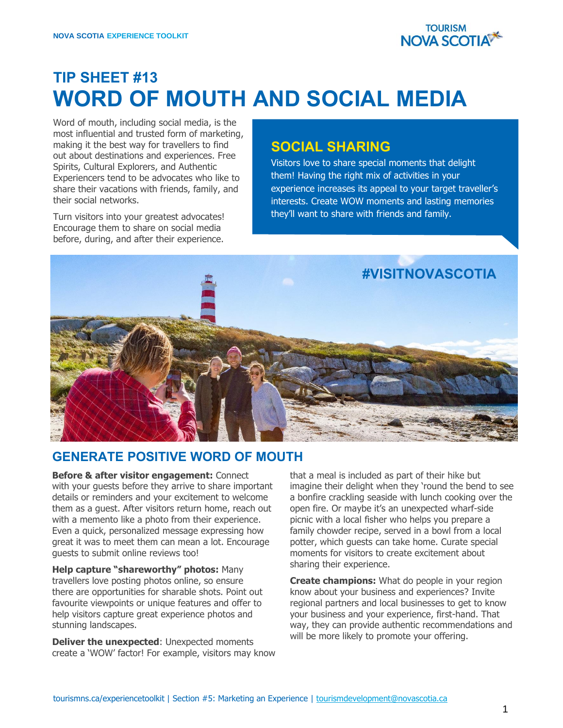

# **TIP SHEET #13 WORD OF MOUTH AND SOCIAL MEDIA**

Word of mouth, including social media, is the most influential and trusted form of marketing, making it the best way for travellers to find out about destinations and experiences. Free Spirits, Cultural Explorers, and Authentic Experiencers tend to be advocates who like to share their vacations with friends, family, and their social networks.

Turn visitors into your greatest advocates! Encourage them to share on social media before, during, and after their experience.

#### **SOCIAL SHARING**

Visitors love to share special moments that delight them! Having the right mix of activities in your experience increases its appeal to your target traveller's interests. Create WOW moments and lasting memories they'll want to share with friends and family.



#### **GENERATE POSITIVE WORD OF MOUTH**

**Before & after visitor engagement:** Connect with your guests before they arrive to share important details or reminders and your excitement to welcome them as a guest. After visitors return home, reach out with a memento like a photo from their experience. Even a quick, personalized message expressing how great it was to meet them can mean a lot. Encourage guests to submit online reviews too!

**Help capture "shareworthy" photos:** Many travellers love posting photos online, so ensure there are opportunities for sharable shots. Point out favourite viewpoints or unique features and offer to help visitors capture great experience photos and stunning landscapes.

**Deliver the unexpected**: Unexpected moments create a 'WOW' factor! For example, visitors may know that a meal is included as part of their hike but imagine their delight when they 'round the bend to see a bonfire crackling seaside with lunch cooking over the open fire. Or maybe it's an unexpected wharf-side picnic with a local fisher who helps you prepare a family chowder recipe, served in a bowl from a local potter, which guests can take home. Curate special moments for visitors to create excitement about sharing their experience.

**Create champions:** What do people in your region know about your business and experiences? Invite regional partners and local businesses to get to know your business and your experience, first-hand. That way, they can provide authentic recommendations and will be more likely to promote your offering.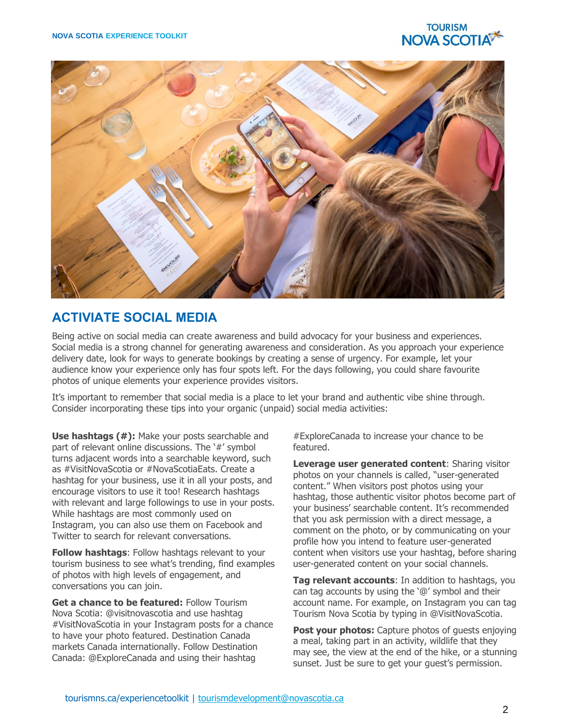



### **ACTIVIATE SOCIAL MEDIA**

Being active on social media can create awareness and build advocacy for your business and experiences. Social media is a strong channel for generating awareness and consideration. As you approach your experience delivery date, look for ways to generate bookings by creating a sense of urgency. For example, let your audience know your experience only has four spots left. For the days following, you could share favourite photos of unique elements your experience provides visitors.

It's important to remember that social media is a place to let your brand and authentic vibe shine through. Consider incorporating these tips into your organic (unpaid) social media activities:

**Use hashtags (#):** Make your posts searchable and part of relevant online discussions. The '#' symbol turns adjacent words into a searchable keyword, such as #VisitNovaScotia or #NovaScotiaEats. Create a hashtag for your business, use it in all your posts, and encourage visitors to use it too! Research hashtags with relevant and large followings to use in your posts. While hashtags are most commonly used on Instagram, you can also use them on Facebook and Twitter to search for relevant conversations.

**Follow hashtags**: Follow hashtags relevant to your tourism business to see what's trending, find examples of photos with high levels of engagement, and conversations you can join.

**Get a chance to be featured:** Follow Tourism Nova Scotia: @visitnovascotia and use hashtag #VisitNovaScotia in your Instagram posts for a chance to have your photo featured. Destination Canada markets Canada internationally. Follow Destination Canada: @ExploreCanada and using their hashtag

#ExploreCanada to increase your chance to be featured.

**Leverage user generated content**: Sharing visitor photos on your channels is called, "user-generated content." When visitors post photos using your hashtag, those authentic visitor photos become part of your business' searchable content. It's recommended that you ask permission with a direct message, a comment on the photo, or by communicating on your profile how you intend to feature user-generated content when visitors use your hashtag, before sharing user-generated content on your social channels.

**Tag relevant accounts**: In addition to hashtags, you can tag accounts by using the '@' symbol and their account name. For example, on Instagram you can tag Tourism Nova Scotia by typing in @VisitNovaScotia.

**Post your photos:** Capture photos of quests enjoying a meal, taking part in an activity, wildlife that they may see, the view at the end of the hike, or a stunning sunset. Just be sure to get your guest's permission.